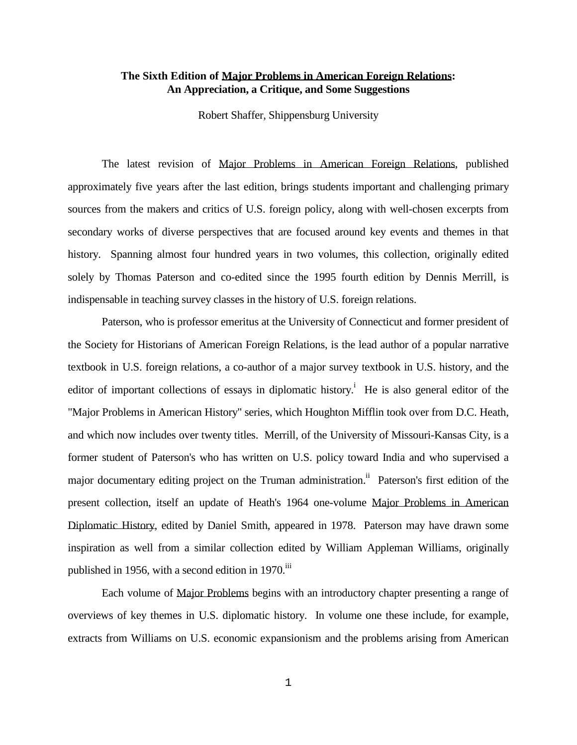## **The Sixth Edition of Major Problems in American Foreign Relations: An Appreciation, a Critique, and Some Suggestions**

Robert Shaffer, Shippensburg University

 The latest revision of Major Problems in American Foreign Relations, published approximately five years after the last edition, brings students important and challenging primary sources from the makers and critics of U.S. foreign policy, along with well-chosen excerpts from secondary works of diverse perspectives that are focused around key events and themes in that history. Spanning almost four hundred years in two volumes, this collection, originally edited solely by Thomas Paterson and co-edited since the 1995 fourth edition by Dennis Merrill, is indispensable in teaching survey classes in the history of U.S. foreign relations.

 Paterson, who is professor emeritus at the University of Connecticut and former president of the Society for Historians of American Foreign Relations, is the lead author of a popular narrative textbook in U.S. foreign relations, a co-author of a major survey textbook in U.S. history, and the editor of important collections of essays in diplomatic history.<sup>i</sup> He is also general editor of the "Major Problems in American History" series, which Houghton Mifflin took over from D.C. Heath, and which now includes over twenty titles. Merrill, of the University of Missouri-Kansas City, is a former student of Paterson's who has written on U.S. policy toward India and who supervised a major documentary editing project on the Truman administration.<sup>ii</sup> Paterson's first edition of the present collection, itself an update of Heath's 1964 one-volume Major Problems in American Diplomatic History, edited by Daniel Smith, appeared in 1978. Paterson may have drawn some inspiration as well from a similar collection edited by William Appleman Williams, originally published in 1956, with a second edition in 1970. $\mathrm{^{iii}}$ 

 Each volume of Major Problems begins with an introductory chapter presenting a range of overviews of key themes in U.S. diplomatic history. In volume one these include, for example, extracts from Williams on U.S. economic expansionism and the problems arising from American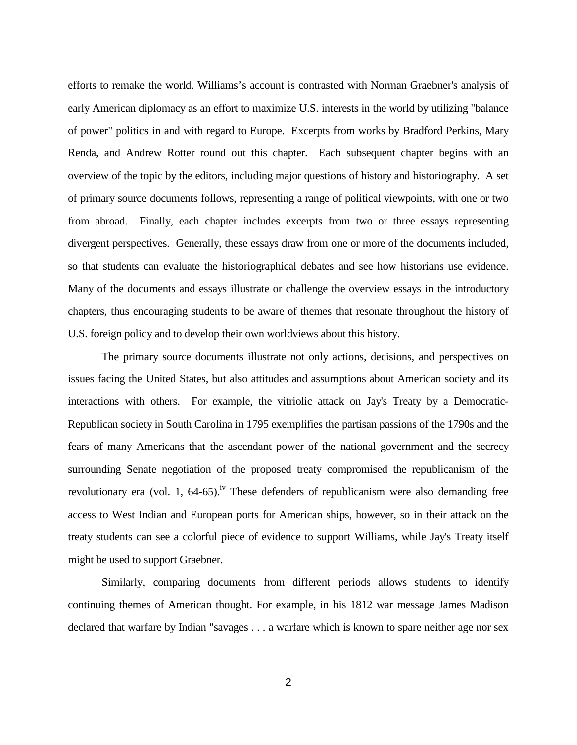efforts to remake the world. Williams's account is contrasted with Norman Graebner's analysis of early American diplomacy as an effort to maximize U.S. interests in the world by utilizing "balance of power" politics in and with regard to Europe. Excerpts from works by Bradford Perkins, Mary Renda, and Andrew Rotter round out this chapter. Each subsequent chapter begins with an overview of the topic by the editors, including major questions of history and historiography. A set of primary source documents follows, representing a range of political viewpoints, with one or two from abroad. Finally, each chapter includes excerpts from two or three essays representing divergent perspectives. Generally, these essays draw from one or more of the documents included, so that students can evaluate the historiographical debates and see how historians use evidence. Many of the documents and essays illustrate or challenge the overview essays in the introductory chapters, thus encouraging students to be aware of themes that resonate throughout the history of U.S. foreign policy and to develop their own worldviews about this history.

 The primary source documents illustrate not only actions, decisions, and perspectives on issues facing the United States, but also attitudes and assumptions about American society and its interactions with others. For example, the vitriolic attack on Jay's Treaty by a Democratic-Republican society in South Carolina in 1795 exemplifies the partisan passions of the 1790s and the fears of many Americans that the ascendant power of the national government and the secrecy surrounding Senate negotiation of the proposed treaty compromised the republicanism of the revolutionary era (vol. 1, 64-65).<sup>iv</sup> These defenders of republicanism were also demanding free access to West Indian and European ports for American ships, however, so in their attack on the treaty students can see a colorful piece of evidence to support Williams, while Jay's Treaty itself might be used to support Graebner.

 Similarly, comparing documents from different periods allows students to identify continuing themes of American thought. For example, in his 1812 war message James Madison declared that warfare by Indian "savages . . . a warfare which is known to spare neither age nor sex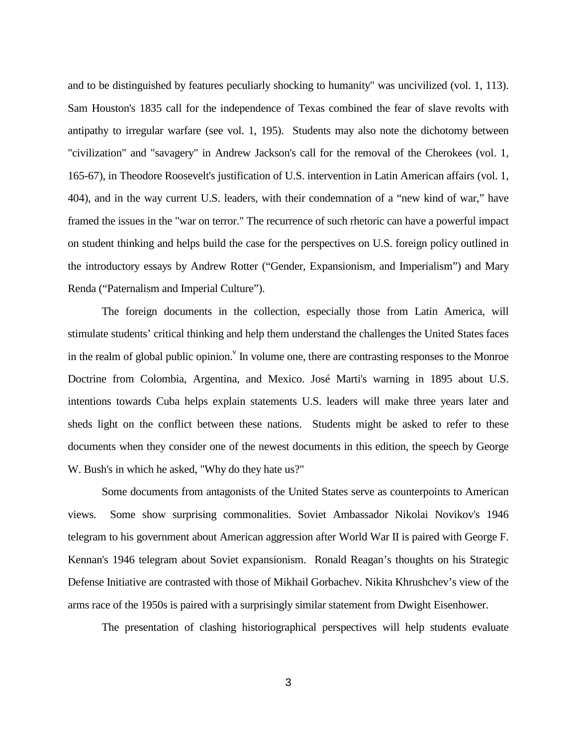and to be distinguished by features peculiarly shocking to humanity" was uncivilized (vol. 1, 113). Sam Houston's 1835 call for the independence of Texas combined the fear of slave revolts with antipathy to irregular warfare (see vol. 1, 195). Students may also note the dichotomy between "civilization" and "savagery" in Andrew Jackson's call for the removal of the Cherokees (vol. 1, 165-67), in Theodore Roosevelt's justification of U.S. intervention in Latin American affairs (vol. 1, 404), and in the way current U.S. leaders, with their condemnation of a "new kind of war," have framed the issues in the "war on terror." The recurrence of such rhetoric can have a powerful impact on student thinking and helps build the case for the perspectives on U.S. foreign policy outlined in the introductory essays by Andrew Rotter ("Gender, Expansionism, and Imperialism") and Mary Renda ("Paternalism and Imperial Culture").

 The foreign documents in the collection, especially those from Latin America, will stimulate students' critical thinking and help them understand the challenges the United States faces in the realm of global public opinion.<sup> $v$ </sup> In volume one, there are contrasting responses to the Monroe Doctrine from Colombia, Argentina, and Mexico. José Marti's warning in 1895 about U.S. intentions towards Cuba helps explain statements U.S. leaders will make three years later and sheds light on the conflict between these nations. Students might be asked to refer to these documents when they consider one of the newest documents in this edition, the speech by George W. Bush's in which he asked, "Why do they hate us?"

 Some documents from antagonists of the United States serve as counterpoints to American views. Some show surprising commonalities. Soviet Ambassador Nikolai Novikov's 1946 telegram to his government about American aggression after World War II is paired with George F. Kennan's 1946 telegram about Soviet expansionism. Ronald Reagan's thoughts on his Strategic Defense Initiative are contrasted with those of Mikhail Gorbachev. Nikita Khrushchev's view of the arms race of the 1950s is paired with a surprisingly similar statement from Dwight Eisenhower.

The presentation of clashing historiographical perspectives will help students evaluate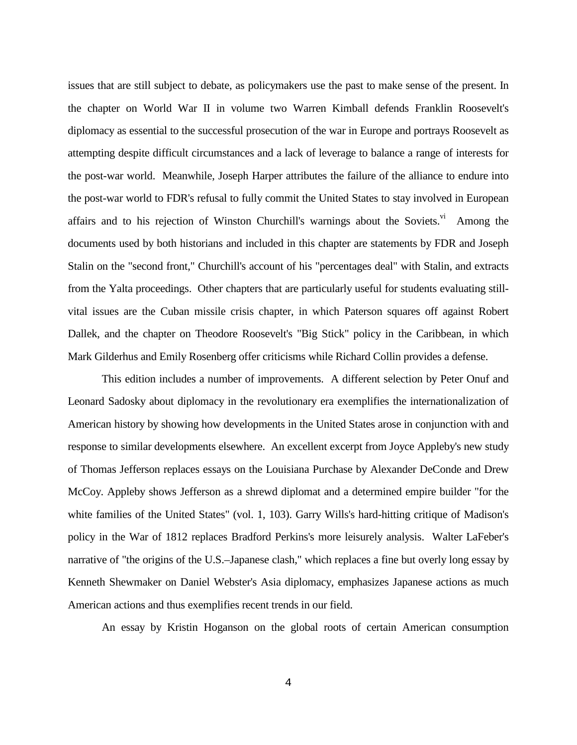issues that are still subject to debate, as policymakers use the past to make sense of the present. In the chapter on World War II in volume two Warren Kimball defends Franklin Roosevelt's diplomacy as essential to the successful prosecution of the war in Europe and portrays Roosevelt as attempting despite difficult circumstances and a lack of leverage to balance a range of interests for the post-war world. Meanwhile, Joseph Harper attributes the failure of the alliance to endure into the post-war world to FDR's refusal to fully commit the United States to stay involved in European affairs and to his rejection of Winston Churchill's warnings about the Soviets. $\overline{v}$  Among the documents used by both historians and included in this chapter are statements by FDR and Joseph Stalin on the "second front," Churchill's account of his "percentages deal" with Stalin, and extracts from the Yalta proceedings. Other chapters that are particularly useful for students evaluating stillvital issues are the Cuban missile crisis chapter, in which Paterson squares off against Robert Dallek, and the chapter on Theodore Roosevelt's "Big Stick" policy in the Caribbean, in which Mark Gilderhus and Emily Rosenberg offer criticisms while Richard Collin provides a defense.

 This edition includes a number of improvements. A different selection by Peter Onuf and Leonard Sadosky about diplomacy in the revolutionary era exemplifies the internationalization of American history by showing how developments in the United States arose in conjunction with and response to similar developments elsewhere. An excellent excerpt from Joyce Appleby's new study of Thomas Jefferson replaces essays on the Louisiana Purchase by Alexander DeConde and Drew McCoy. Appleby shows Jefferson as a shrewd diplomat and a determined empire builder "for the white families of the United States" (vol. 1, 103). Garry Wills's hard-hitting critique of Madison's policy in the War of 1812 replaces Bradford Perkins's more leisurely analysis. Walter LaFeber's narrative of "the origins of the U.S.–Japanese clash," which replaces a fine but overly long essay by Kenneth Shewmaker on Daniel Webster's Asia diplomacy, emphasizes Japanese actions as much American actions and thus exemplifies recent trends in our field.

An essay by Kristin Hoganson on the global roots of certain American consumption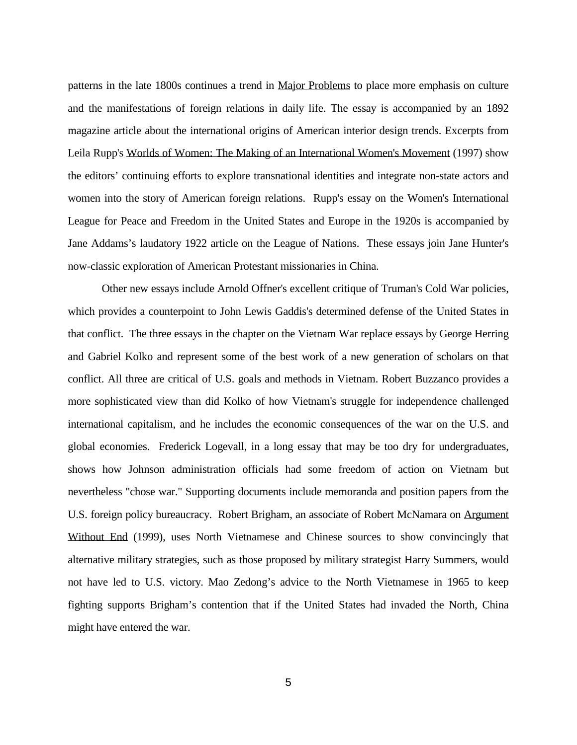patterns in the late 1800s continues a trend in Major Problems to place more emphasis on culture and the manifestations of foreign relations in daily life. The essay is accompanied by an 1892 magazine article about the international origins of American interior design trends. Excerpts from Leila Rupp's Worlds of Women: The Making of an International Women's Movement (1997) show the editors' continuing efforts to explore transnational identities and integrate non-state actors and women into the story of American foreign relations. Rupp's essay on the Women's International League for Peace and Freedom in the United States and Europe in the 1920s is accompanied by Jane Addams's laudatory 1922 article on the League of Nations. These essays join Jane Hunter's now-classic exploration of American Protestant missionaries in China.

 Other new essays include Arnold Offner's excellent critique of Truman's Cold War policies, which provides a counterpoint to John Lewis Gaddis's determined defense of the United States in that conflict. The three essays in the chapter on the Vietnam War replace essays by George Herring and Gabriel Kolko and represent some of the best work of a new generation of scholars on that conflict. All three are critical of U.S. goals and methods in Vietnam. Robert Buzzanco provides a more sophisticated view than did Kolko of how Vietnam's struggle for independence challenged international capitalism, and he includes the economic consequences of the war on the U.S. and global economies. Frederick Logevall, in a long essay that may be too dry for undergraduates, shows how Johnson administration officials had some freedom of action on Vietnam but nevertheless "chose war." Supporting documents include memoranda and position papers from the U.S. foreign policy bureaucracy. Robert Brigham, an associate of Robert McNamara on Argument Without End (1999), uses North Vietnamese and Chinese sources to show convincingly that alternative military strategies, such as those proposed by military strategist Harry Summers, would not have led to U.S. victory. Mao Zedong's advice to the North Vietnamese in 1965 to keep fighting supports Brigham's contention that if the United States had invaded the North, China might have entered the war.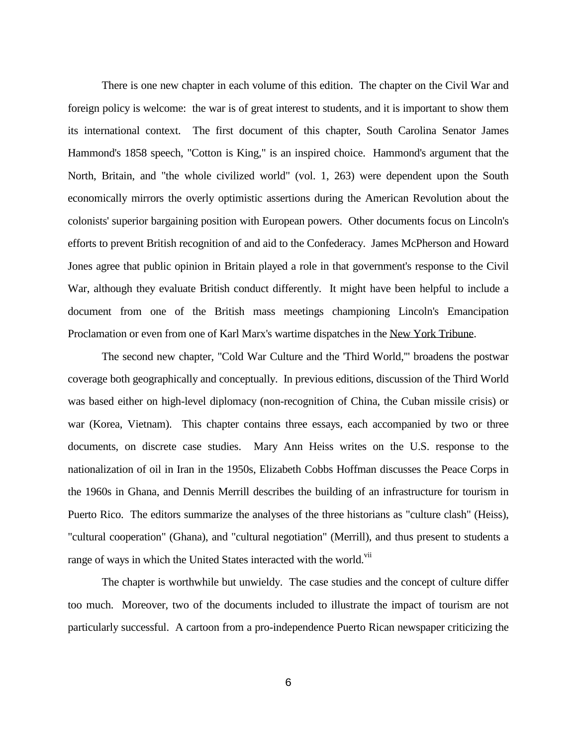There is one new chapter in each volume of this edition. The chapter on the Civil War and foreign policy is welcome: the war is of great interest to students, and it is important to show them its international context. The first document of this chapter, South Carolina Senator James Hammond's 1858 speech, "Cotton is King," is an inspired choice. Hammond's argument that the North, Britain, and "the whole civilized world" (vol. 1, 263) were dependent upon the South economically mirrors the overly optimistic assertions during the American Revolution about the colonists' superior bargaining position with European powers. Other documents focus on Lincoln's efforts to prevent British recognition of and aid to the Confederacy. James McPherson and Howard Jones agree that public opinion in Britain played a role in that government's response to the Civil War, although they evaluate British conduct differently. It might have been helpful to include a document from one of the British mass meetings championing Lincoln's Emancipation Proclamation or even from one of Karl Marx's wartime dispatches in the New York Tribune.

 The second new chapter, "Cold War Culture and the 'Third World,'" broadens the postwar coverage both geographically and conceptually. In previous editions, discussion of the Third World was based either on high-level diplomacy (non-recognition of China, the Cuban missile crisis) or war (Korea, Vietnam). This chapter contains three essays, each accompanied by two or three documents, on discrete case studies. Mary Ann Heiss writes on the U.S. response to the nationalization of oil in Iran in the 1950s, Elizabeth Cobbs Hoffman discusses the Peace Corps in the 1960s in Ghana, and Dennis Merrill describes the building of an infrastructure for tourism in Puerto Rico. The editors summarize the analyses of the three historians as "culture clash" (Heiss), "cultural cooperation" (Ghana), and "cultural negotiation" (Merrill), and thus present to students a range of ways in which the United States interacted with the world.<sup>vii</sup>

 The chapter is worthwhile but unwieldy. The case studies and the concept of culture differ too much. Moreover, two of the documents included to illustrate the impact of tourism are not particularly successful. A cartoon from a pro-independence Puerto Rican newspaper criticizing the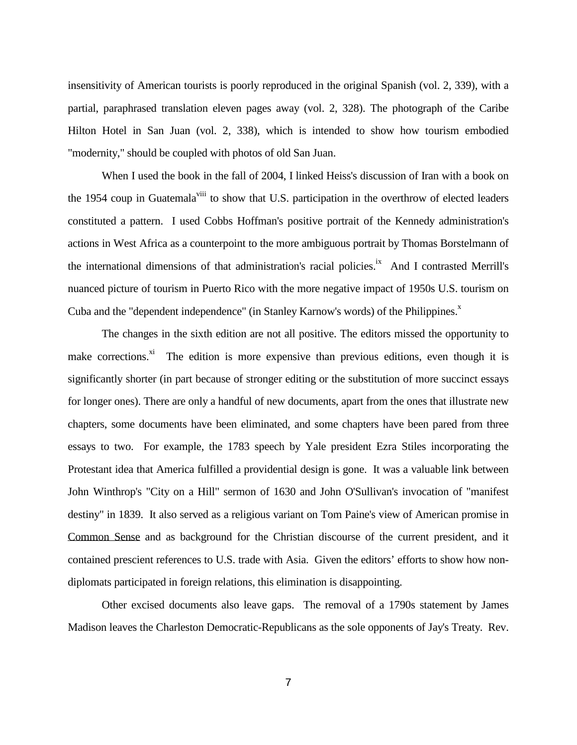insensitivity of American tourists is poorly reproduced in the original Spanish (vol. 2, 339), with a partial, paraphrased translation eleven pages away (vol. 2, 328). The photograph of the Caribe Hilton Hotel in San Juan (vol. 2, 338), which is intended to show how tourism embodied "modernity," should be coupled with photos of old San Juan.

 When I used the book in the fall of 2004, I linked Heiss's discussion of Iran with a book on the 1954 coup in Guatemala<sup>viii</sup> to show that U.S. participation in the overthrow of elected leaders constituted a pattern. I used Cobbs Hoffman's positive portrait of the Kennedy administration's actions in West Africa as a counterpoint to the more ambiguous portrait by Thomas Borstelmann of the international dimensions of that administration's racial policies.<sup>ix</sup> And I contrasted Merrill's nuanced picture of tourism in Puerto Rico with the more negative impact of 1950s U.S. tourism on Cuba and the "dependent independence" (in Stanley Karnow's words) of the Philippines.<sup>x</sup>

 The changes in the sixth edition are not all positive. The editors missed the opportunity to make corrections.<sup>xi</sup> The edition is more expensive than previous editions, even though it is significantly shorter (in part because of stronger editing or the substitution of more succinct essays for longer ones). There are only a handful of new documents, apart from the ones that illustrate new chapters, some documents have been eliminated, and some chapters have been pared from three essays to two. For example, the 1783 speech by Yale president Ezra Stiles incorporating the Protestant idea that America fulfilled a providential design is gone. It was a valuable link between John Winthrop's "City on a Hill" sermon of 1630 and John O'Sullivan's invocation of "manifest destiny" in 1839. It also served as a religious variant on Tom Paine's view of American promise in Common Sense and as background for the Christian discourse of the current president, and it contained prescient references to U.S. trade with Asia. Given the editors' efforts to show how nondiplomats participated in foreign relations, this elimination is disappointing.

 Other excised documents also leave gaps. The removal of a 1790s statement by James Madison leaves the Charleston Democratic-Republicans as the sole opponents of Jay's Treaty. Rev.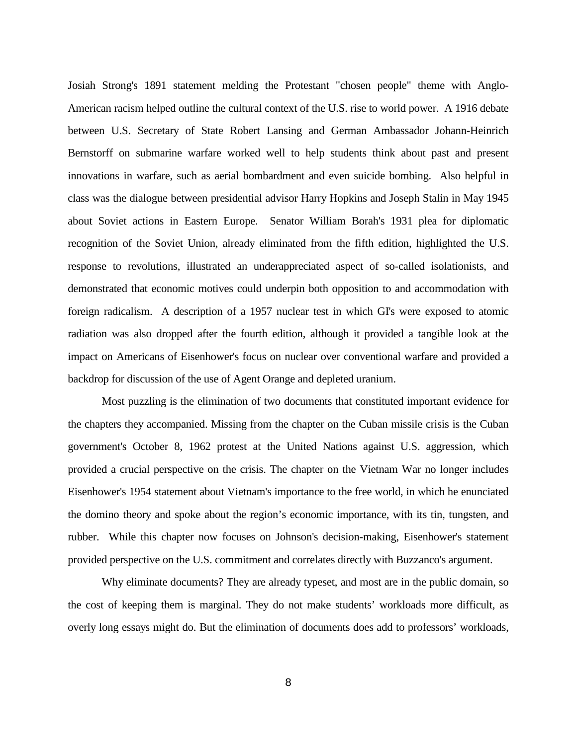Josiah Strong's 1891 statement melding the Protestant "chosen people" theme with Anglo-American racism helped outline the cultural context of the U.S. rise to world power. A 1916 debate between U.S. Secretary of State Robert Lansing and German Ambassador Johann-Heinrich Bernstorff on submarine warfare worked well to help students think about past and present innovations in warfare, such as aerial bombardment and even suicide bombing. Also helpful in class was the dialogue between presidential advisor Harry Hopkins and Joseph Stalin in May 1945 about Soviet actions in Eastern Europe. Senator William Borah's 1931 plea for diplomatic recognition of the Soviet Union, already eliminated from the fifth edition, highlighted the U.S. response to revolutions, illustrated an underappreciated aspect of so-called isolationists, and demonstrated that economic motives could underpin both opposition to and accommodation with foreign radicalism. A description of a 1957 nuclear test in which GI's were exposed to atomic radiation was also dropped after the fourth edition, although it provided a tangible look at the impact on Americans of Eisenhower's focus on nuclear over conventional warfare and provided a backdrop for discussion of the use of Agent Orange and depleted uranium.

 Most puzzling is the elimination of two documents that constituted important evidence for the chapters they accompanied. Missing from the chapter on the Cuban missile crisis is the Cuban government's October 8, 1962 protest at the United Nations against U.S. aggression, which provided a crucial perspective on the crisis. The chapter on the Vietnam War no longer includes Eisenhower's 1954 statement about Vietnam's importance to the free world, in which he enunciated the domino theory and spoke about the region's economic importance, with its tin, tungsten, and rubber. While this chapter now focuses on Johnson's decision-making, Eisenhower's statement provided perspective on the U.S. commitment and correlates directly with Buzzanco's argument.

 Why eliminate documents? They are already typeset, and most are in the public domain, so the cost of keeping them is marginal. They do not make students' workloads more difficult, as overly long essays might do. But the elimination of documents does add to professors' workloads,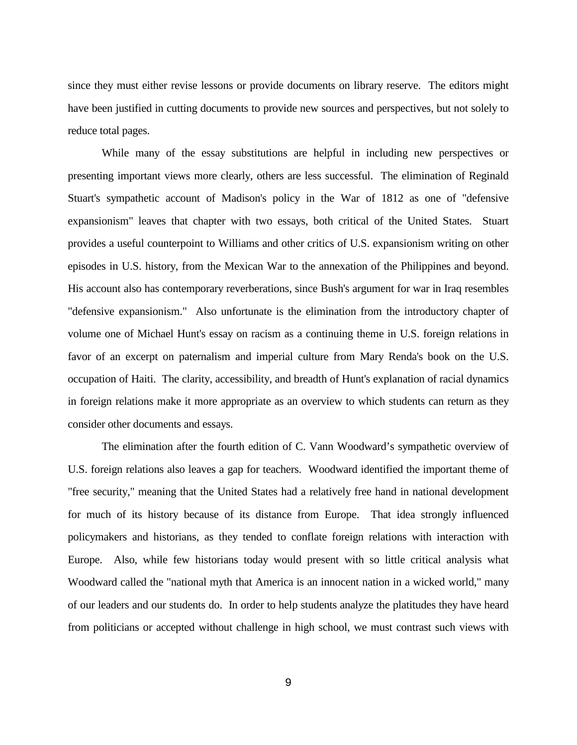since they must either revise lessons or provide documents on library reserve. The editors might have been justified in cutting documents to provide new sources and perspectives, but not solely to reduce total pages.

 While many of the essay substitutions are helpful in including new perspectives or presenting important views more clearly, others are less successful. The elimination of Reginald Stuart's sympathetic account of Madison's policy in the War of 1812 as one of "defensive expansionism" leaves that chapter with two essays, both critical of the United States. Stuart provides a useful counterpoint to Williams and other critics of U.S. expansionism writing on other episodes in U.S. history, from the Mexican War to the annexation of the Philippines and beyond. His account also has contemporary reverberations, since Bush's argument for war in Iraq resembles "defensive expansionism." Also unfortunate is the elimination from the introductory chapter of volume one of Michael Hunt's essay on racism as a continuing theme in U.S. foreign relations in favor of an excerpt on paternalism and imperial culture from Mary Renda's book on the U.S. occupation of Haiti. The clarity, accessibility, and breadth of Hunt's explanation of racial dynamics in foreign relations make it more appropriate as an overview to which students can return as they consider other documents and essays.

 The elimination after the fourth edition of C. Vann Woodward's sympathetic overview of U.S. foreign relations also leaves a gap for teachers. Woodward identified the important theme of "free security," meaning that the United States had a relatively free hand in national development for much of its history because of its distance from Europe. That idea strongly influenced policymakers and historians, as they tended to conflate foreign relations with interaction with Europe. Also, while few historians today would present with so little critical analysis what Woodward called the "national myth that America is an innocent nation in a wicked world," many of our leaders and our students do. In order to help students analyze the platitudes they have heard from politicians or accepted without challenge in high school, we must contrast such views with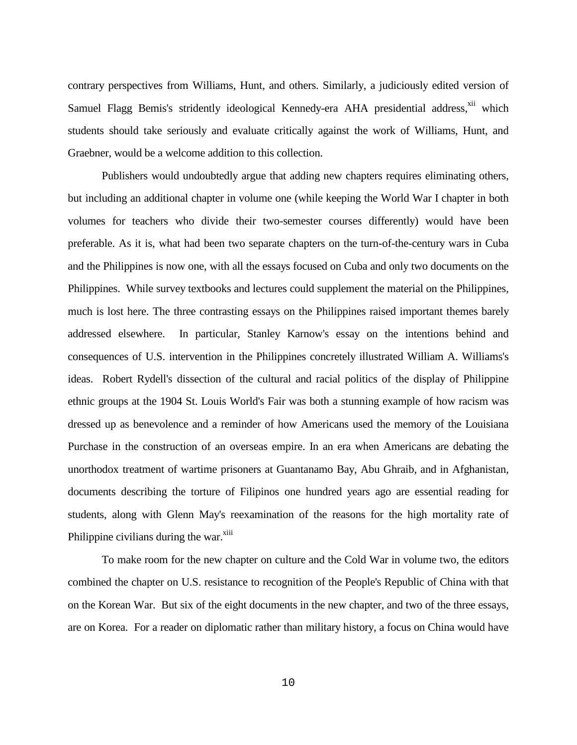contrary perspectives from Williams, Hunt, and others. Similarly, a judiciously edited version of Samuel Flagg Bemis's stridently ideological Kennedy-era AHA presidential address,<sup>xii</sup> which students should take seriously and evaluate critically against the work of Williams, Hunt, and Graebner, would be a welcome addition to this collection.

 Publishers would undoubtedly argue that adding new chapters requires eliminating others, but including an additional chapter in volume one (while keeping the World War I chapter in both volumes for teachers who divide their two-semester courses differently) would have been preferable. As it is, what had been two separate chapters on the turn-of-the-century wars in Cuba and the Philippines is now one, with all the essays focused on Cuba and only two documents on the Philippines. While survey textbooks and lectures could supplement the material on the Philippines, much is lost here. The three contrasting essays on the Philippines raised important themes barely addressed elsewhere. In particular, Stanley Karnow's essay on the intentions behind and consequences of U.S. intervention in the Philippines concretely illustrated William A. Williams's ideas. Robert Rydell's dissection of the cultural and racial politics of the display of Philippine ethnic groups at the 1904 St. Louis World's Fair was both a stunning example of how racism was dressed up as benevolence and a reminder of how Americans used the memory of the Louisiana Purchase in the construction of an overseas empire. In an era when Americans are debating the unorthodox treatment of wartime prisoners at Guantanamo Bay, Abu Ghraib, and in Afghanistan, documents describing the torture of Filipinos one hundred years ago are essential reading for students, along with Glenn May's reexamination of the reasons for the high mortality rate of Philippine civilians during the war.<sup>xiii</sup>

 To make room for the new chapter on culture and the Cold War in volume two, the editors combined the chapter on U.S. resistance to recognition of the People's Republic of China with that on the Korean War. But six of the eight documents in the new chapter, and two of the three essays, are on Korea. For a reader on diplomatic rather than military history, a focus on China would have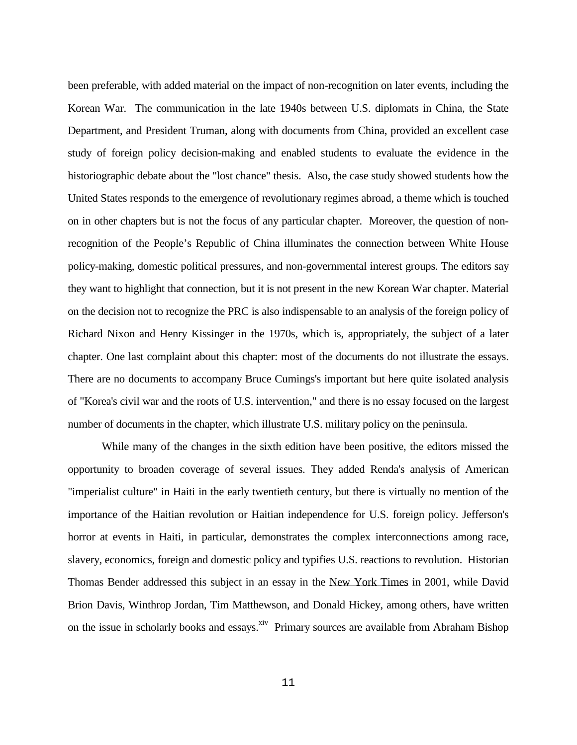been preferable, with added material on the impact of non-recognition on later events, including the Korean War. The communication in the late 1940s between U.S. diplomats in China, the State Department, and President Truman, along with documents from China, provided an excellent case study of foreign policy decision-making and enabled students to evaluate the evidence in the historiographic debate about the "lost chance" thesis. Also, the case study showed students how the United States responds to the emergence of revolutionary regimes abroad, a theme which is touched on in other chapters but is not the focus of any particular chapter. Moreover, the question of nonrecognition of the People's Republic of China illuminates the connection between White House policy-making, domestic political pressures, and non-governmental interest groups. The editors say they want to highlight that connection, but it is not present in the new Korean War chapter. Material on the decision not to recognize the PRC is also indispensable to an analysis of the foreign policy of Richard Nixon and Henry Kissinger in the 1970s, which is, appropriately, the subject of a later chapter. One last complaint about this chapter: most of the documents do not illustrate the essays. There are no documents to accompany Bruce Cumings's important but here quite isolated analysis of "Korea's civil war and the roots of U.S. intervention," and there is no essay focused on the largest number of documents in the chapter, which illustrate U.S. military policy on the peninsula.

 While many of the changes in the sixth edition have been positive, the editors missed the opportunity to broaden coverage of several issues. They added Renda's analysis of American "imperialist culture" in Haiti in the early twentieth century, but there is virtually no mention of the importance of the Haitian revolution or Haitian independence for U.S. foreign policy. Jefferson's horror at events in Haiti, in particular, demonstrates the complex interconnections among race, slavery, economics, foreign and domestic policy and typifies U.S. reactions to revolution. Historian Thomas Bender addressed this subject in an essay in the New York Times in 2001, while David Brion Davis, Winthrop Jordan, Tim Matthewson, and Donald Hickey, among others, have written on the issue in scholarly books and essays.<sup>xiv</sup> Primary sources are available from Abraham Bishop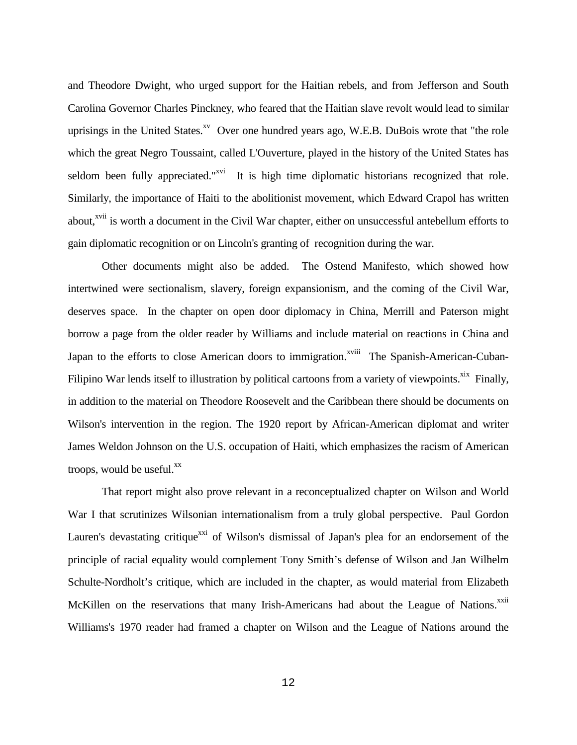and Theodore Dwight, who urged support for the Haitian rebels, and from Jefferson and South Carolina Governor Charles Pinckney, who feared that the Haitian slave revolt would lead to similar uprisings in the United States. $X^V$  Over one hundred years ago, W.E.B. DuBois wrote that "the role" which the great Negro Toussaint, called L'Ouverture, played in the history of the United States has seldom been fully appreciated." $x^{v}$  It is high time diplomatic historians recognized that role. Similarly, the importance of Haiti to the abolitionist movement, which Edward Crapol has written about,<sup>xvii</sup> is worth a document in the Civil War chapter, either on unsuccessful antebellum efforts to gain diplomatic recognition or on Lincoln's granting of recognition during the war.

 Other documents might also be added. The Ostend Manifesto, which showed how intertwined were sectionalism, slavery, foreign expansionism, and the coming of the Civil War, deserves space. In the chapter on open door diplomacy in China, Merrill and Paterson might borrow a page from the older reader by Williams and include material on reactions in China and Japan to the efforts to close American doors to immigration.<sup>xviii</sup> The Spanish-American-Cuban-Filipino War lends itself to illustration by political cartoons from a variety of viewpoints.<sup>xix</sup> Finally, in addition to the material on Theodore Roosevelt and the Caribbean there should be documents on Wilson's intervention in the region. The 1920 report by African-American diplomat and writer James Weldon Johnson on the U.S. occupation of Haiti, which emphasizes the racism of American troops, would be useful. $^{xx}$ 

 That report might also prove relevant in a reconceptualized chapter on Wilson and World War I that scrutinizes Wilsonian internationalism from a truly global perspective. Paul Gordon Lauren's devastating critique<sup>xxi</sup> of Wilson's dismissal of Japan's plea for an endorsement of the principle of racial equality would complement Tony Smith's defense of Wilson and Jan Wilhelm Schulte-Nordholt's critique, which are included in the chapter, as would material from Elizabeth McKillen on the reservations that many Irish-Americans had about the League of Nations.<sup>xxii</sup> Williams's 1970 reader had framed a chapter on Wilson and the League of Nations around the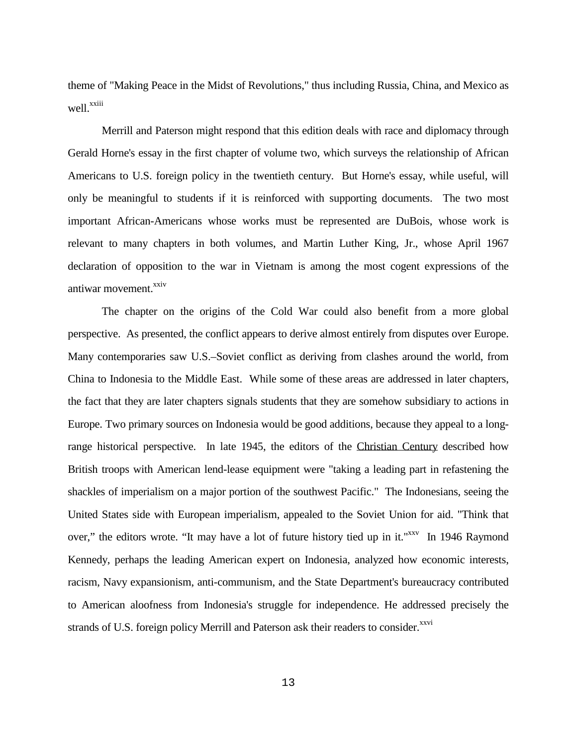theme of "Making Peace in the Midst of Revolutions," thus including Russia, China, and Mexico as well.<sup>xxiii</sup>

 Merrill and Paterson might respond that this edition deals with race and diplomacy through Gerald Horne's essay in the first chapter of volume two, which surveys the relationship of African Americans to U.S. foreign policy in the twentieth century. But Horne's essay, while useful, will only be meaningful to students if it is reinforced with supporting documents. The two most important African-Americans whose works must be represented are DuBois, whose work is relevant to many chapters in both volumes, and Martin Luther King, Jr., whose April 1967 declaration of opposition to the war in Vietnam is among the most cogent expressions of the antiwar movement. $^{xxiv}$ 

 The chapter on the origins of the Cold War could also benefit from a more global perspective. As presented, the conflict appears to derive almost entirely from disputes over Europe. Many contemporaries saw U.S.–Soviet conflict as deriving from clashes around the world, from China to Indonesia to the Middle East. While some of these areas are addressed in later chapters, the fact that they are later chapters signals students that they are somehow subsidiary to actions in Europe. Two primary sources on Indonesia would be good additions, because they appeal to a longrange historical perspective. In late 1945, the editors of the Christian Century described how British troops with American lend-lease equipment were "taking a leading part in refastening the shackles of imperialism on a major portion of the southwest Pacific." The Indonesians, seeing the United States side with European imperialism, appealed to the Soviet Union for aid. "Think that over," the editors wrote. "It may have a lot of future history tied up in it."<sup>xxv</sup> In 1946 Raymond Kennedy, perhaps the leading American expert on Indonesia, analyzed how economic interests, racism, Navy expansionism, anti-communism, and the State Department's bureaucracy contributed to American aloofness from Indonesia's struggle for independence. He addressed precisely the strands of U.S. foreign policy Merrill and Paterson ask their readers to consider.<sup>xxvi</sup>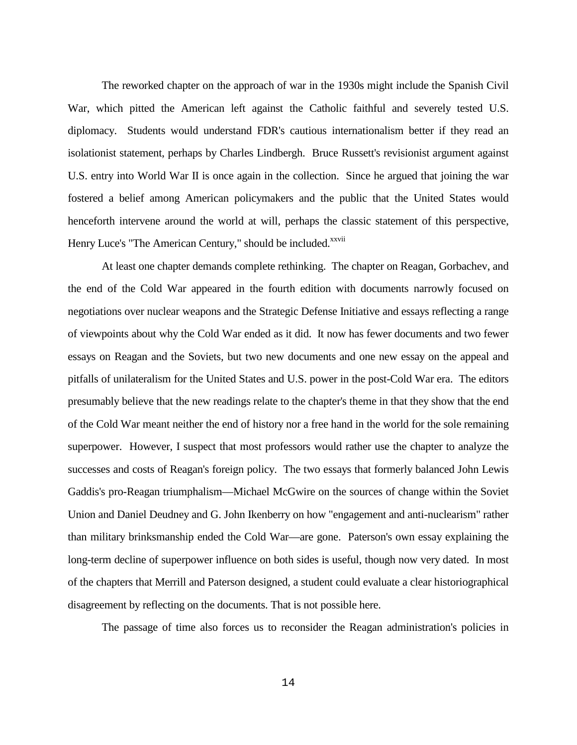The reworked chapter on the approach of war in the 1930s might include the Spanish Civil War, which pitted the American left against the Catholic faithful and severely tested U.S. diplomacy. Students would understand FDR's cautious internationalism better if they read an isolationist statement, perhaps by Charles Lindbergh. Bruce Russett's revisionist argument against U.S. entry into World War II is once again in the collection. Since he argued that joining the war fostered a belief among American policymakers and the public that the United States would henceforth intervene around the world at will, perhaps the classic statement of this perspective, Henry Luce's "The American Century," should be included.<sup>xxvii</sup>

 At least one chapter demands complete rethinking. The chapter on Reagan, Gorbachev, and the end of the Cold War appeared in the fourth edition with documents narrowly focused on negotiations over nuclear weapons and the Strategic Defense Initiative and essays reflecting a range of viewpoints about why the Cold War ended as it did. It now has fewer documents and two fewer essays on Reagan and the Soviets, but two new documents and one new essay on the appeal and pitfalls of unilateralism for the United States and U.S. power in the post-Cold War era. The editors presumably believe that the new readings relate to the chapter's theme in that they show that the end of the Cold War meant neither the end of history nor a free hand in the world for the sole remaining superpower. However, I suspect that most professors would rather use the chapter to analyze the successes and costs of Reagan's foreign policy. The two essays that formerly balanced John Lewis Gaddis's pro-Reagan triumphalism—Michael McGwire on the sources of change within the Soviet Union and Daniel Deudney and G. John Ikenberry on how "engagement and anti-nuclearism" rather than military brinksmanship ended the Cold War—are gone. Paterson's own essay explaining the long-term decline of superpower influence on both sides is useful, though now very dated. In most of the chapters that Merrill and Paterson designed, a student could evaluate a clear historiographical disagreement by reflecting on the documents. That is not possible here.

The passage of time also forces us to reconsider the Reagan administration's policies in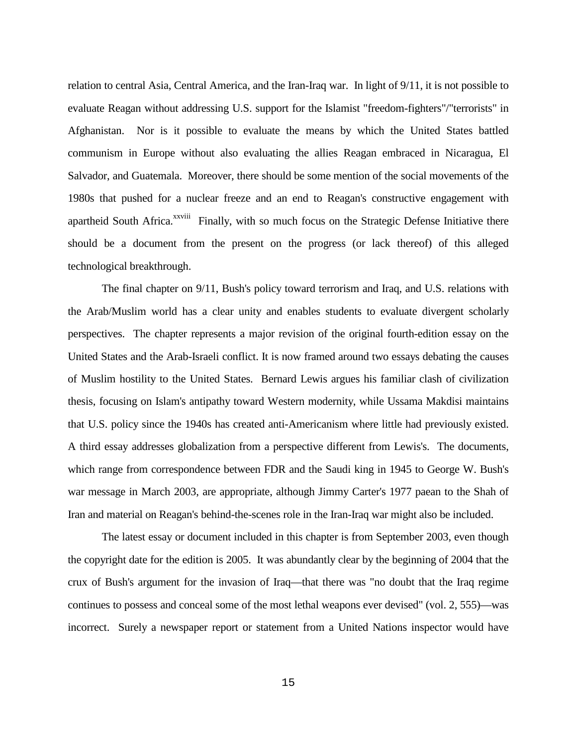relation to central Asia, Central America, and the Iran-Iraq war. In light of 9/11, it is not possible to evaluate Reagan without addressing U.S. support for the Islamist "freedom-fighters"/"terrorists" in Afghanistan. Nor is it possible to evaluate the means by which the United States battled communism in Europe without also evaluating the allies Reagan embraced in Nicaragua, El Salvador, and Guatemala. Moreover, there should be some mention of the social movements of the 1980s that pushed for a nuclear freeze and an end to Reagan's constructive engagement with apartheid South Africa.<sup>xxviii</sup> Finally, with so much focus on the Strategic Defense Initiative there should be a document from the present on the progress (or lack thereof) of this alleged technological breakthrough.

 The final chapter on 9/11, Bush's policy toward terrorism and Iraq, and U.S. relations with the Arab/Muslim world has a clear unity and enables students to evaluate divergent scholarly perspectives. The chapter represents a major revision of the original fourth-edition essay on the United States and the Arab-Israeli conflict. It is now framed around two essays debating the causes of Muslim hostility to the United States. Bernard Lewis argues his familiar clash of civilization thesis, focusing on Islam's antipathy toward Western modernity, while Ussama Makdisi maintains that U.S. policy since the 1940s has created anti-Americanism where little had previously existed. A third essay addresses globalization from a perspective different from Lewis's. The documents, which range from correspondence between FDR and the Saudi king in 1945 to George W. Bush's war message in March 2003, are appropriate, although Jimmy Carter's 1977 paean to the Shah of Iran and material on Reagan's behind-the-scenes role in the Iran-Iraq war might also be included.

 The latest essay or document included in this chapter is from September 2003, even though the copyright date for the edition is 2005. It was abundantly clear by the beginning of 2004 that the crux of Bush's argument for the invasion of Iraq—that there was "no doubt that the Iraq regime continues to possess and conceal some of the most lethal weapons ever devised" (vol. 2, 555)—was incorrect. Surely a newspaper report or statement from a United Nations inspector would have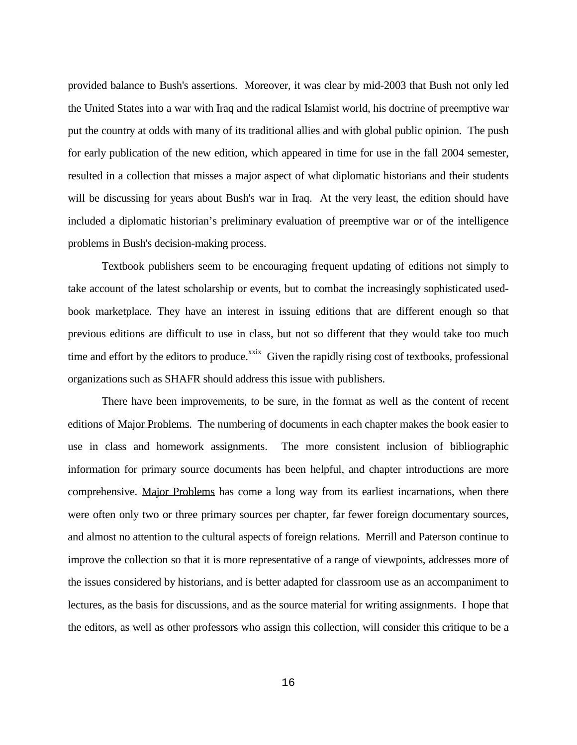provided balance to Bush's assertions. Moreover, it was clear by mid-2003 that Bush not only led the United States into a war with Iraq and the radical Islamist world, his doctrine of preemptive war put the country at odds with many of its traditional allies and with global public opinion. The push for early publication of the new edition, which appeared in time for use in the fall 2004 semester, resulted in a collection that misses a major aspect of what diplomatic historians and their students will be discussing for years about Bush's war in Iraq. At the very least, the edition should have included a diplomatic historian's preliminary evaluation of preemptive war or of the intelligence problems in Bush's decision-making process.

 Textbook publishers seem to be encouraging frequent updating of editions not simply to take account of the latest scholarship or events, but to combat the increasingly sophisticated usedbook marketplace. They have an interest in issuing editions that are different enough so that previous editions are difficult to use in class, but not so different that they would take too much time and effort by the editors to produce.<sup>xxix</sup> Given the rapidly rising cost of textbooks, professional organizations such as SHAFR should address this issue with publishers.

 There have been improvements, to be sure, in the format as well as the content of recent editions of Major Problems. The numbering of documents in each chapter makes the book easier to use in class and homework assignments. The more consistent inclusion of bibliographic information for primary source documents has been helpful, and chapter introductions are more comprehensive. Major Problems has come a long way from its earliest incarnations, when there were often only two or three primary sources per chapter, far fewer foreign documentary sources, and almost no attention to the cultural aspects of foreign relations. Merrill and Paterson continue to improve the collection so that it is more representative of a range of viewpoints, addresses more of the issues considered by historians, and is better adapted for classroom use as an accompaniment to lectures, as the basis for discussions, and as the source material for writing assignments. I hope that the editors, as well as other professors who assign this collection, will consider this critique to be a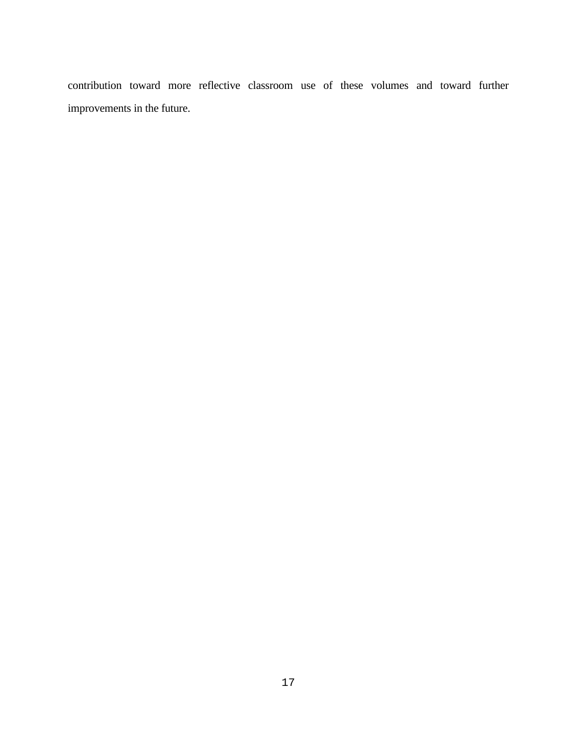contribution toward more reflective classroom use of these volumes and toward further improvements in the future.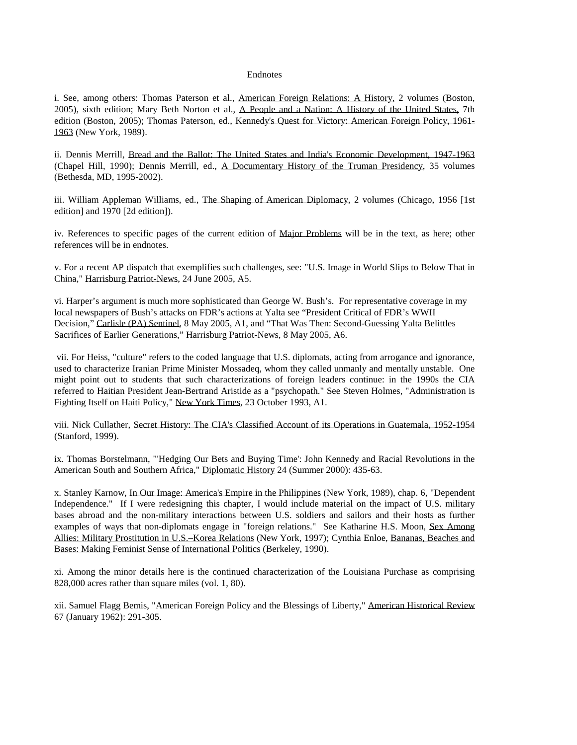## Endnotes

i. See, among others: Thomas Paterson et al., American Foreign Relations: A History, 2 volumes (Boston, 2005), sixth edition; Mary Beth Norton et al., A People and a Nation: A History of the United States, 7th edition (Boston, 2005); Thomas Paterson, ed., Kennedy's Quest for Victory: American Foreign Policy, 1961- 1963 (New York, 1989).

ii. Dennis Merrill, Bread and the Ballot: The United States and India's Economic Development, 1947-1963 (Chapel Hill, 1990); Dennis Merrill, ed., A Documentary History of the Truman Presidency, 35 volumes (Bethesda, MD, 1995-2002).

iii. William Appleman Williams, ed., The Shaping of American Diplomacy, 2 volumes (Chicago, 1956 [1st edition] and 1970 [2d edition]).

iv. References to specific pages of the current edition of Major Problems will be in the text, as here; other references will be in endnotes.

v. For a recent AP dispatch that exemplifies such challenges, see: "U.S. Image in World Slips to Below That in China," Harrisburg Patriot-News, 24 June 2005, A5.

vi. Harper's argument is much more sophisticated than George W. Bush's. For representative coverage in my local newspapers of Bush's attacks on FDR's actions at Yalta see "President Critical of FDR's WWII Decision," Carlisle (PA) Sentinel, 8 May 2005, A1, and "That Was Then: Second-Guessing Yalta Belittles Sacrifices of Earlier Generations," Harrisburg Patriot-News, 8 May 2005, A6.

 vii. For Heiss, "culture" refers to the coded language that U.S. diplomats, acting from arrogance and ignorance, used to characterize Iranian Prime Minister Mossadeq, whom they called unmanly and mentally unstable. One might point out to students that such characterizations of foreign leaders continue: in the 1990s the CIA referred to Haitian President Jean-Bertrand Aristide as a "psychopath." See Steven Holmes, "Administration is Fighting Itself on Haiti Policy," New York Times, 23 October 1993, A1.

viii. Nick Cullather, Secret History: The CIA's Classified Account of its Operations in Guatemala, 1952-1954 (Stanford, 1999).

ix. Thomas Borstelmann, "'Hedging Our Bets and Buying Time': John Kennedy and Racial Revolutions in the American South and Southern Africa," Diplomatic History 24 (Summer 2000): 435-63.

x. Stanley Karnow, In Our Image: America's Empire in the Philippines (New York, 1989), chap. 6, "Dependent Independence." If I were redesigning this chapter, I would include material on the impact of U.S. military bases abroad and the non-military interactions between U.S. soldiers and sailors and their hosts as further examples of ways that non-diplomats engage in "foreign relations." See Katharine H.S. Moon, Sex Among Allies: Military Prostitution in U.S.–Korea Relations (New York, 1997); Cynthia Enloe, Bananas, Beaches and Bases: Making Feminist Sense of International Politics (Berkeley, 1990).

xi. Among the minor details here is the continued characterization of the Louisiana Purchase as comprising 828,000 acres rather than square miles (vol. 1, 80).

xii. Samuel Flagg Bemis, "American Foreign Policy and the Blessings of Liberty," American Historical Review 67 (January 1962): 291-305.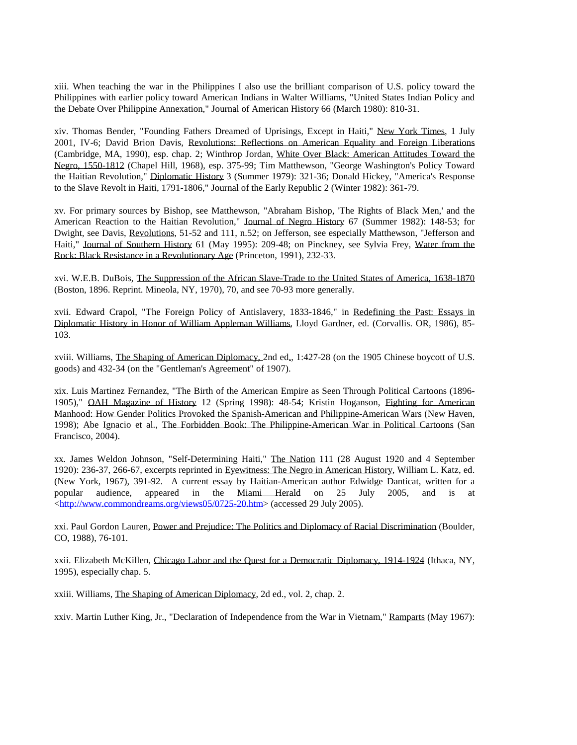xiii. When teaching the war in the Philippines I also use the brilliant comparison of U.S. policy toward the Philippines with earlier policy toward American Indians in Walter Williams, "United States Indian Policy and the Debate Over Philippine Annexation," Journal of American History 66 (March 1980): 810-31.

xiv. Thomas Bender, "Founding Fathers Dreamed of Uprisings, Except in Haiti," New York Times, 1 July 2001, IV-6; David Brion Davis, Revolutions: Reflections on American Equality and Foreign Liberations (Cambridge, MA, 1990), esp. chap. 2; Winthrop Jordan, White Over Black: American Attitudes Toward the Negro, 1550-1812 (Chapel Hill, 1968), esp. 375-99; Tim Matthewson, "George Washington's Policy Toward the Haitian Revolution," Diplomatic History 3 (Summer 1979): 321-36; Donald Hickey, "America's Response to the Slave Revolt in Haiti, 1791-1806," Journal of the Early Republic 2 (Winter 1982): 361-79.

xv. For primary sources by Bishop, see Matthewson, "Abraham Bishop, 'The Rights of Black Men,' and the American Reaction to the Haitian Revolution," Journal of Negro History 67 (Summer 1982): 148-53; for Dwight, see Davis, Revolutions, 51-52 and 111, n.52; on Jefferson, see especially Matthewson, "Jefferson and Haiti," Journal of Southern History 61 (May 1995): 209-48; on Pinckney, see Sylvia Frey, Water from the Rock: Black Resistance in a Revolutionary Age (Princeton, 1991), 232-33.

xvi. W.E.B. DuBois, The Suppression of the African Slave-Trade to the United States of America, 1638-1870 (Boston, 1896. Reprint. Mineola, NY, 1970), 70, and see 70-93 more generally.

xvii. Edward Crapol, "The Foreign Policy of Antislavery, 1833-1846," in Redefining the Past: Essays in Diplomatic History in Honor of William Appleman Williams, Lloyd Gardner, ed. (Corvallis. OR, 1986), 85- 103.

xviii. Williams, The Shaping of American Diplomacy, 2nd ed., 1:427-28 (on the 1905 Chinese boycott of U.S. goods) and 432-34 (on the "Gentleman's Agreement" of 1907).

xix. Luis Martinez Fernandez, "The Birth of the American Empire as Seen Through Political Cartoons (1896- 1905)," OAH Magazine of History 12 (Spring 1998): 48-54; Kristin Hoganson, Fighting for American Manhood: How Gender Politics Provoked the Spanish-American and Philippine-American Wars (New Haven, 1998); Abe Ignacio et al., The Forbidden Book: The Philippine-American War in Political Cartoons (San Francisco, 2004).

xx. James Weldon Johnson, "Self-Determining Haiti," The Nation 111 (28 August 1920 and 4 September 1920): 236-37, 266-67, excerpts reprinted in Eyewitness: The Negro in American History, William L. Katz, ed. (New York, 1967), 391-92. A current essay by Haitian-American author Edwidge Danticat, written for a popular audience, appeared in the Miami Herald on 25 July 2005, and is at <http://www.commondreams.org/views05/0725-20.htm> (accessed 29 July 2005).

xxi. Paul Gordon Lauren, Power and Prejudice: The Politics and Diplomacy of Racial Discrimination (Boulder, CO, 1988), 76-101.

xxii. Elizabeth McKillen, Chicago Labor and the Quest for a Democratic Diplomacy, 1914-1924 (Ithaca, NY, 1995), especially chap. 5.

xxiii. Williams, The Shaping of American Diplomacy, 2d ed., vol. 2, chap. 2.

xxiv. Martin Luther King, Jr., "Declaration of Independence from the War in Vietnam," Ramparts (May 1967):